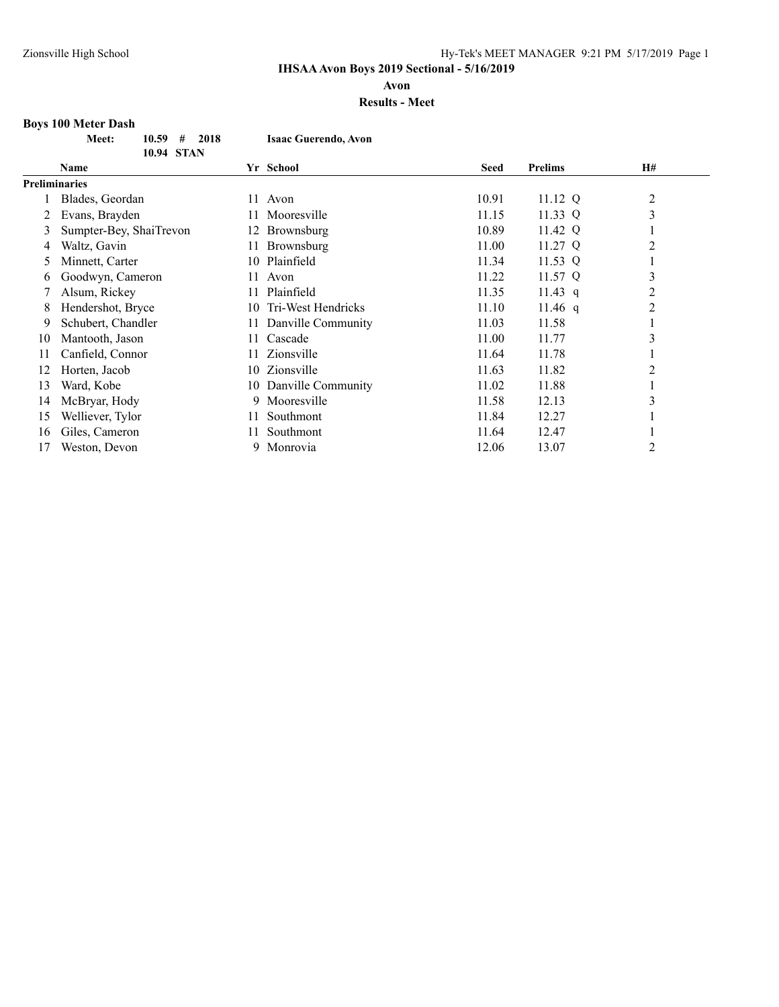**Avon**

### **Results - Meet**

#### **Boys 100 Meter Dash**

|      | <b>Meet:</b> | $10.59 +$<br>2018 | <b>Isaac Guerendo, Avon</b> |
|------|--------------|-------------------|-----------------------------|
|      |              | 10.94 STAN        |                             |
| Namo |              |                   | $V_r$ Cohool                |

| Name                    |                      | Yr School          | <b>Seed</b>                                       | <b>Prelims</b> | <b>H#</b>      |  |
|-------------------------|----------------------|--------------------|---------------------------------------------------|----------------|----------------|--|
|                         |                      |                    |                                                   |                |                |  |
| Blades, Geordan         |                      |                    | 10.91                                             | 11.12 Q        | $\overline{2}$ |  |
| Evans, Brayden          |                      | Mooresville        | 11.15                                             | 11.33 Q        | 3              |  |
| Sumpter-Bey, ShaiTrevon | 12.                  | Brownsburg         | 10.89                                             | 11.42 Q        |                |  |
| Waltz, Gavin            |                      | Brownsburg         | 11.00                                             | 11.27 Q        | $\overline{2}$ |  |
| Minnett, Carter         | 10                   | Plainfield         | 11.34                                             | 11.53 Q        |                |  |
| Goodwyn, Cameron        | 11.                  | Avon               | 11.22                                             | 11.57 Q        | 3              |  |
| Alsum, Rickey           |                      | Plainfield         | 11.35                                             | 11.43 q        | 2              |  |
| Hendershot, Bryce       |                      | Tri-West Hendricks | 11.10                                             | 11.46 q        | $\overline{2}$ |  |
| Schubert, Chandler      |                      | Danville Community | 11.03                                             | 11.58          |                |  |
| Mantooth, Jason         |                      | Cascade            | 11.00                                             | 11.77          | ↑<br>Ć         |  |
| Canfield, Connor        | 11.                  | Zionsville         | 11.64                                             | 11.78          |                |  |
| Horten, Jacob           | 10                   | Zionsville         | 11.63                                             | 11.82          | $\overline{2}$ |  |
| Ward, Kobe              | 10                   | Danville Community | 11.02                                             | 11.88          |                |  |
| McBryar, Hody           | 9                    | Mooresville        | 11.58                                             | 12.13          | 3              |  |
| Welliever, Tylor        | 11                   | Southmont          | 11.84                                             | 12.27          |                |  |
| Giles, Cameron          | 11.                  | Southmont          | 11.64                                             | 12.47          |                |  |
| Weston, Devon           | 9                    | Monrovia           | 12.06                                             | 13.07          | 2              |  |
|                         | <b>Preliminaries</b> |                    | 11 Avon<br>11.<br>11.<br>11.<br>10.<br>11.<br>11. |                |                |  |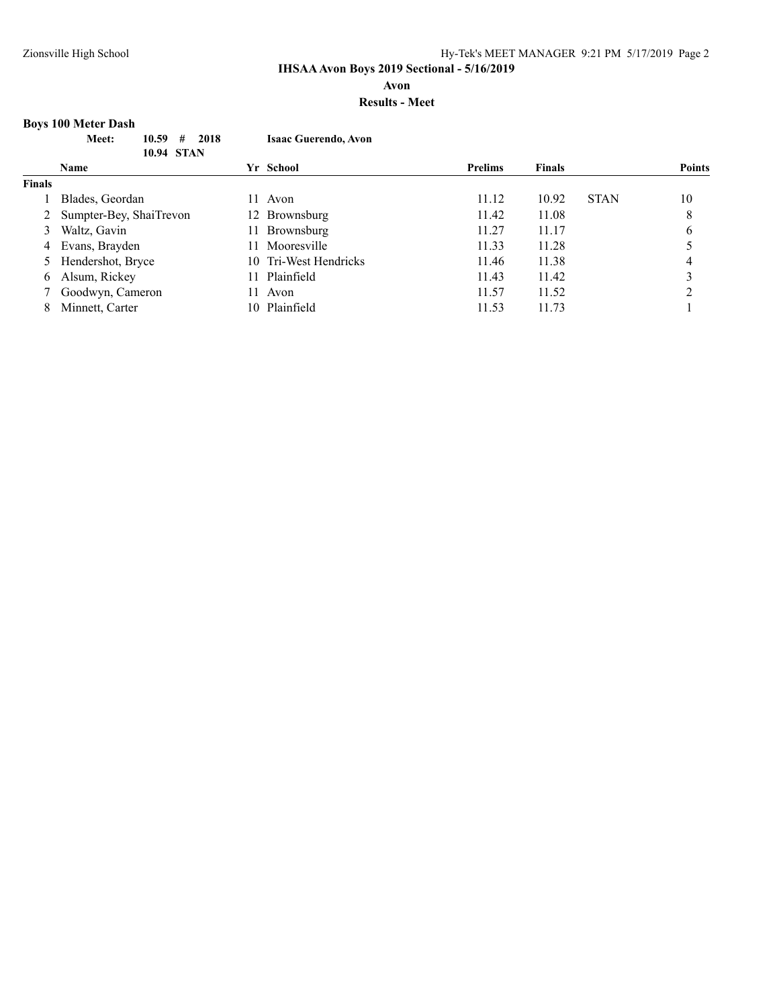**Avon**

## **Results - Meet**

# **Boys 100 Meter Dash**

|               | Meet:<br>2018<br>10.59<br>#<br>10.94 STAN | <b>Isaac Guerendo, Avon</b> |                |                      |               |
|---------------|-------------------------------------------|-----------------------------|----------------|----------------------|---------------|
|               | <b>Name</b>                               | Yr School                   | <b>Prelims</b> | <b>Finals</b>        | <b>Points</b> |
| <b>Finals</b> |                                           |                             |                |                      |               |
|               | Blades, Geordan                           | 11.<br>Avon                 | 11.12          | 10.92<br><b>STAN</b> | 10            |
|               | Sumpter-Bey, ShaiTrevon                   | 12 Brownsburg               | 11.42          | 11.08                | 8             |
| 3             | Waltz, Gavin                              | Brownsburg<br>11.           | 11.27          | 11.17                | 6             |
| 4             | Evans, Brayden                            | Mooresville<br>11.          | 11.33          | 11.28                |               |
|               | Hendershot, Bryce                         | 10 Tri-West Hendricks       | 11.46          | 11.38                | 4             |
| 6             | Alsum, Rickey                             | Plainfield<br>11.           | 11.43          | 11.42                |               |
|               | Goodwyn, Cameron                          | Avon<br>11                  | 11.57          | 11.52                | ↑             |
| 8             | Minnett, Carter                           | 10 Plainfield               | 11.53          | 11.73                |               |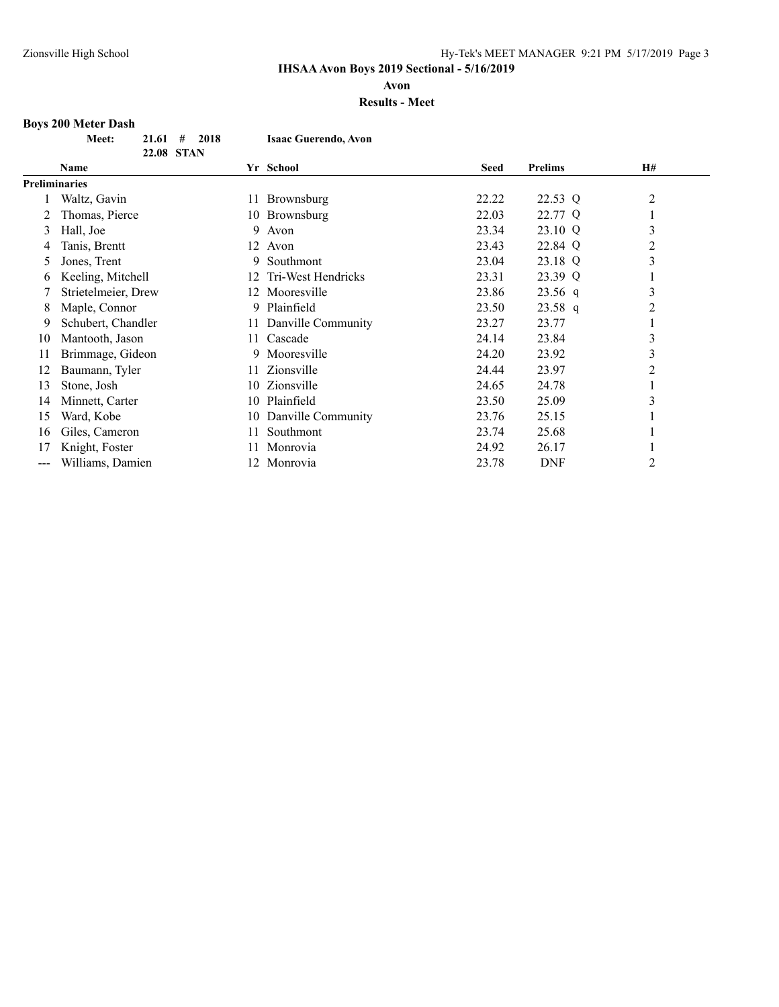**Avon**

### **Results - Meet**

# **Boys 200 Meter Dash**

| <b>Meet:</b> | $21.61$ # 2018 |  | <b>Isaac Guerendo, Avon</b> |
|--------------|----------------|--|-----------------------------|
|              | 22.08 STAN     |  |                             |

|                      | <b>Name</b>         |     | Yr School          | <b>Seed</b> | <b>Prelims</b> | H#             |
|----------------------|---------------------|-----|--------------------|-------------|----------------|----------------|
| <b>Preliminaries</b> |                     |     |                    |             |                |                |
|                      | Waltz, Gavin        |     | 11 Brownsburg      | 22.22       | 22.53 Q        | $\overline{2}$ |
|                      | Thomas, Pierce      |     | 10 Brownsburg      | 22.03       | 22.77 Q        | 1              |
| 3                    | Hall, Joe           | 9.  | Avon               | 23.34       | 23.10 Q        | 3              |
| 4                    | Tanis, Brentt       | 12  | Avon               | 23.43       | 22.84 Q        | 2              |
| 5                    | Jones, Trent        | 9.  | Southmont          | 23.04       | 23.18 Q        | 3              |
| 6                    | Keeling, Mitchell   | 12. | Tri-West Hendricks | 23.31       | 23.39 Q        |                |
|                      | Strietelmeier, Drew |     | 12 Mooresville     | 23.86       | $23.56$ q      | 3              |
| 8                    | Maple, Connor       | 9.  | Plainfield         | 23.50       | $23.58$ q      | 2              |
| 9                    | Schubert, Chandler  | 11  | Danville Community | 23.27       | 23.77          |                |
| 10                   | Mantooth, Jason     | 11. | Cascade            | 24.14       | 23.84          | 3              |
| 11                   | Brimmage, Gideon    | 9.  | Mooresville        | 24.20       | 23.92          | 3              |
| 12                   | Baumann, Tyler      | 11. | Zionsville         | 24.44       | 23.97          | $\overline{2}$ |
| 13                   | Stone, Josh         | 10  | Zionsville         | 24.65       | 24.78          |                |
| 14                   | Minnett, Carter     | 10  | Plainfield         | 23.50       | 25.09          | 3              |
| 15                   | Ward, Kobe          | 10  | Danville Community | 23.76       | 25.15          |                |
| 16                   | Giles, Cameron      | 11  | Southmont          | 23.74       | 25.68          |                |
| 17                   | Knight, Foster      |     | Monrovia           | 24.92       | 26.17          |                |
| $\qquad \qquad -$    | Williams, Damien    |     | 12 Monrovia        | 23.78       | <b>DNF</b>     | 2              |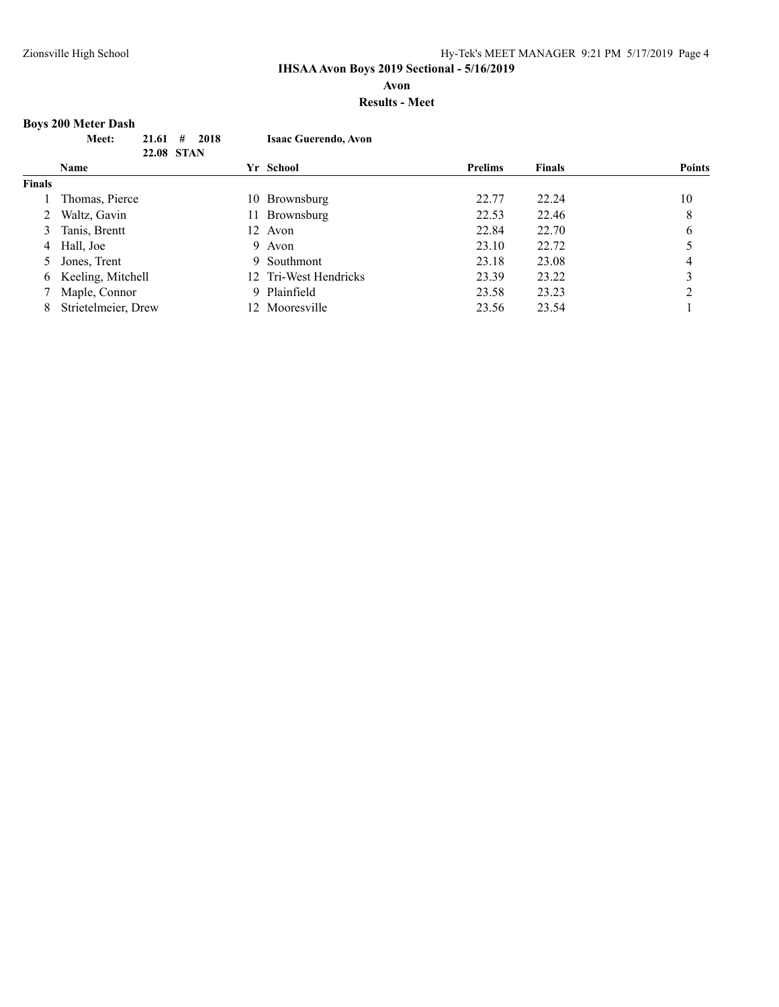## **Avon**

## **Results - Meet**

# **Boys 200 Meter Dash**

|               | #<br>Meet:<br>21.61<br>22.08 STAN | 2018<br><b>Isaac Guerendo, Avon</b> |                |               |               |
|---------------|-----------------------------------|-------------------------------------|----------------|---------------|---------------|
|               | Name                              | Yr School                           | <b>Prelims</b> | <b>Finals</b> | <b>Points</b> |
| <b>Finals</b> |                                   |                                     |                |               |               |
|               | Thomas, Pierce                    | 10 Brownsburg                       | 22.77          | 22.24         | 10            |
|               | Waltz, Gavin                      | Brownsburg<br>11 -                  | 22.53          | 22.46         | 8             |
| 3             | Tanis, Brentt                     | 12 Avon                             | 22.84          | 22.70         | 6             |
|               | 4 Hall, Joe                       | 9 Avon                              | 23.10          | 22.72         |               |
|               | Jones, Trent                      | Southmont<br>9                      | 23.18          | 23.08         | 4             |
| 6             | Keeling, Mitchell                 | 12 Tri-West Hendricks               | 23.39          | 23.22         | 3             |
|               | Maple, Connor                     | Plainfield<br>9.                    | 23.58          | 23.23         | ◠             |
| 8             | Strietelmeier, Drew               | 12 Mooresville                      | 23.56          | 23.54         |               |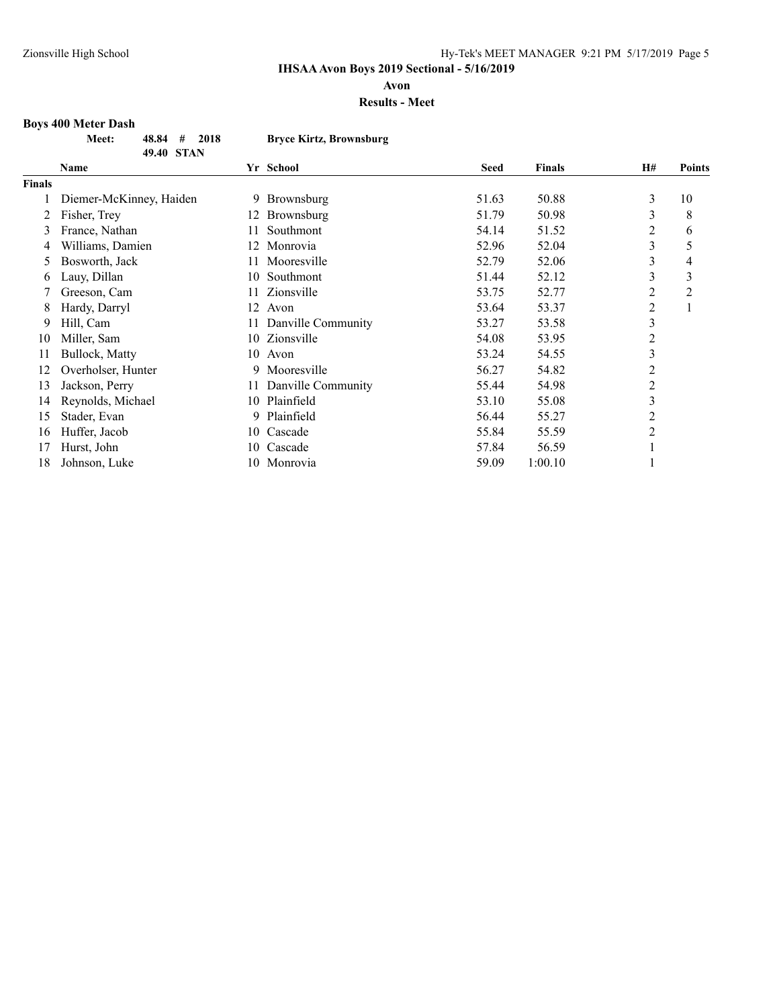**Avon**

#### **Results - Meet**

# **Boys 400 Meter Dash**

| <b>Meet:</b> | $48.84 \quad # \quad 2018$ |  | <b>Bryce Kirtz, Brownsburg</b> |
|--------------|----------------------------|--|--------------------------------|
|              | 49.40 STAN                 |  |                                |

|               | Name                    |     | Yr School          | <b>Seed</b> | <b>Finals</b> | H#             | <b>Points</b> |
|---------------|-------------------------|-----|--------------------|-------------|---------------|----------------|---------------|
| <b>Finals</b> |                         |     |                    |             |               |                |               |
|               | Diemer-McKinney, Haiden |     | 9 Brownsburg       | 51.63       | 50.88         | 3              | 10            |
|               | Fisher, Trey            | 12  | Brownsburg         | 51.79       | 50.98         | 3              | 8             |
| 3             | France, Nathan          | 11  | Southmont          | 54.14       | 51.52         | 2              | 6             |
| 4             | Williams, Damien        | 12  | Monrovia           | 52.96       | 52.04         | 3              | 5             |
| Ć.            | Bosworth, Jack          | 11. | Mooresville        | 52.79       | 52.06         | 3              | 4             |
| O.            | Lauy, Dillan            | 10  | Southmont          | 51.44       | 52.12         | 3              | 3             |
|               | Greeson, Cam            | 11. | Zionsville         | 53.75       | 52.77         | $\overline{c}$ | 2             |
| 8             | Hardy, Darryl           | 12  | Avon               | 53.64       | 53.37         | 2              | -1            |
| 9             | Hill, Cam               | 11  | Danville Community | 53.27       | 53.58         | 3              |               |
| 10            | Miller, Sam             |     | 10 Zionsville      | 54.08       | 53.95         | $\overline{2}$ |               |
| 11            | Bullock, Matty          |     | 10 Avon            | 53.24       | 54.55         | 3              |               |
| 12            | Overholser, Hunter      | 9   | Mooresville        | 56.27       | 54.82         | 2              |               |
| 13            | Jackson, Perry          | 11  | Danville Community | 55.44       | 54.98         | 2              |               |
| 14            | Reynolds, Michael       | 10  | Plainfield         | 53.10       | 55.08         | 3              |               |
| 15            | Stader, Evan            | 9   | Plainfield         | 56.44       | 55.27         | $\overline{c}$ |               |
| 16            | Huffer, Jacob           | 10  | Cascade            | 55.84       | 55.59         | $\overline{c}$ |               |
| 17            | Hurst, John             | 10  | Cascade            | 57.84       | 56.59         |                |               |
| 18            | Johnson, Luke           |     | 10 Monrovia        | 59.09       | 1:00.10       |                |               |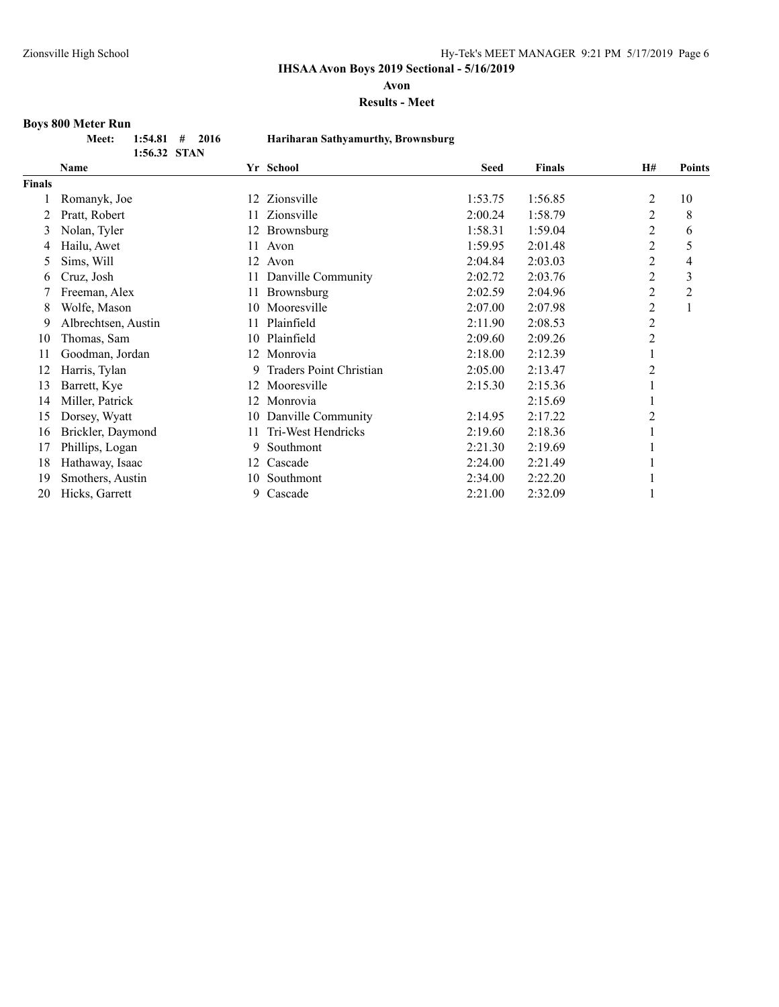**Avon**

#### **Results - Meet**

# **Boys 800 Meter Run**

| et: | $1:54.81$ #  | - 2016 |
|-----|--------------|--------|
|     | 1:56.32 STAN |        |

## **Meet: 1:54.81 # 2016 Hariharan Sathyamurthy, Brownsburg**

|               | <b>Name</b>         |     | Yr School                      | <b>Seed</b> | <b>Finals</b> | <b>H#</b>      | <b>Points</b> |
|---------------|---------------------|-----|--------------------------------|-------------|---------------|----------------|---------------|
| <b>Finals</b> |                     |     |                                |             |               |                |               |
|               | Romanyk, Joe        | 12  | Zionsville                     | 1:53.75     | 1:56.85       | $\overline{2}$ | 10            |
| 2             | Pratt, Robert       | 11  | Zionsville                     | 2:00.24     | 1:58.79       | 2              | 8             |
| 3             | Nolan, Tyler        | 12  | Brownsburg                     | 1:58.31     | 1:59.04       | 2              | 6             |
| 4             | Hailu, Awet         | 11  | Avon                           | 1:59.95     | 2:01.48       | 2              | 5             |
| 5             | Sims, Will          | 12  | Avon                           | 2:04.84     | 2:03.03       | 2              | 4             |
| 6             | Cruz, Josh          | 11  | Danville Community             | 2:02.72     | 2:03.76       | 2              | 3             |
|               | Freeman, Alex       | 11  | Brownsburg                     | 2:02.59     | 2:04.96       | 2              | 2             |
| 8             | Wolfe, Mason        | 10  | Mooresville                    | 2:07.00     | 2:07.98       | 2              |               |
| 9             | Albrechtsen, Austin | 11  | Plainfield                     | 2:11.90     | 2:08.53       | 2              |               |
| 10            | Thomas, Sam         | 10  | Plainfield                     | 2:09.60     | 2:09.26       | 2              |               |
| 11            | Goodman, Jordan     | 12  | Monrovia                       | 2:18.00     | 2:12.39       |                |               |
| 12            | Harris, Tylan       | 9.  | <b>Traders Point Christian</b> | 2:05.00     | 2:13.47       | 2              |               |
| 13            | Barrett, Kye        | 12  | Mooresville                    | 2:15.30     | 2:15.36       |                |               |
| 14            | Miller, Patrick     | 12. | Monrovia                       |             | 2:15.69       |                |               |
| 15            | Dorsey, Wyatt       | 10  | Danville Community             | 2:14.95     | 2:17.22       | 2              |               |
| 16            | Brickler, Daymond   | 11  | Tri-West Hendricks             | 2:19.60     | 2:18.36       |                |               |
| 17            | Phillips, Logan     | 9.  | Southmont                      | 2:21.30     | 2:19.69       |                |               |
| 18            | Hathaway, Isaac     | 12  | Cascade                        | 2:24.00     | 2:21.49       |                |               |
| 19            | Smothers, Austin    | 10  | Southmont                      | 2:34.00     | 2:22.20       |                |               |
| 20            | Hicks, Garrett      | 9.  | Cascade                        | 2:21.00     | 2:32.09       |                |               |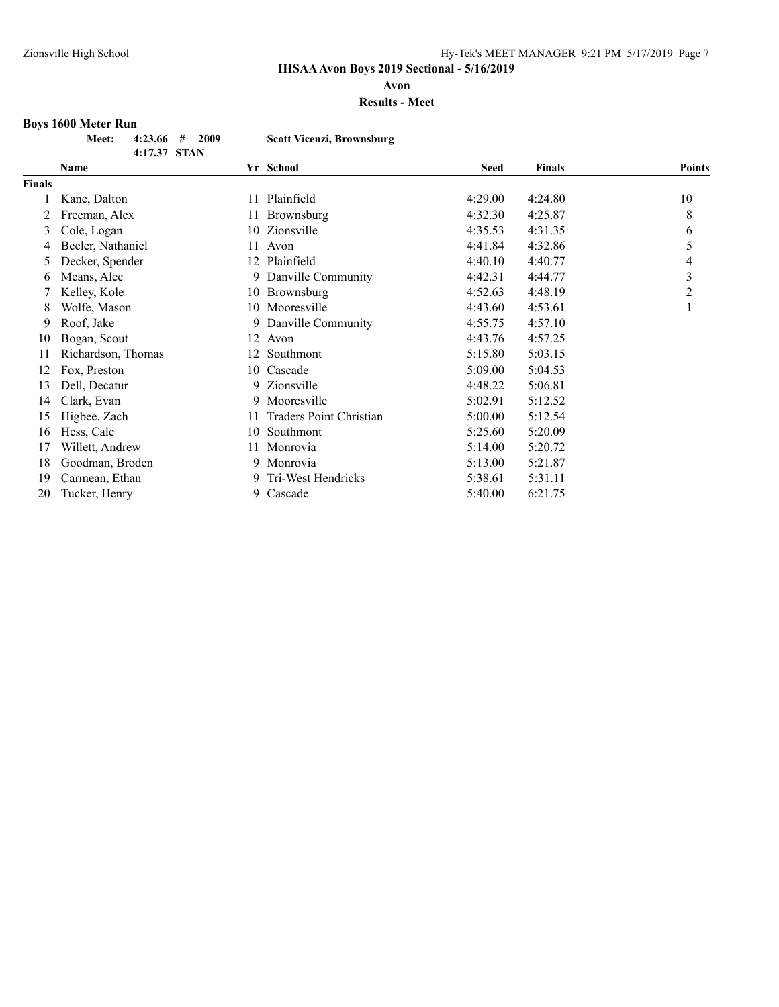**Avon**

#### **Results - Meet**

# **Boys 1600 Meter Run**

|              | Meet: $4:23.66$ # 2009 | Scott Vicenzi, Brownsburg |
|--------------|------------------------|---------------------------|
| 4:17.37 STAN |                        |                           |

| Name               |    |                         | <b>Seed</b>                                                                      | <b>Finals</b> | <b>Points</b>  |
|--------------------|----|-------------------------|----------------------------------------------------------------------------------|---------------|----------------|
|                    |    |                         |                                                                                  |               |                |
| Kane, Dalton       | 11 | Plainfield              | 4:29.00                                                                          | 4:24.80       | 10             |
| Freeman, Alex      | 11 | Brownsburg              | 4:32.30                                                                          | 4:25.87       | 8              |
| Cole, Logan        |    | Zionsville              | 4:35.53                                                                          | 4:31.35       | 6              |
| Beeler, Nathaniel  | 11 | Avon                    | 4:41.84                                                                          | 4:32.86       | 5              |
| Decker, Spender    | 12 | Plainfield              | 4:40.10                                                                          | 4:40.77       | 4              |
| Means, Alec        | 9. | Danville Community      | 4:42.31                                                                          | 4:44.77       | 3              |
| Kelley, Kole       | 10 |                         | 4:52.63                                                                          | 4:48.19       | $\overline{c}$ |
| Wolfe, Mason       |    |                         | 4:43.60                                                                          | 4:53.61       | 1              |
| Roof, Jake         | 9  |                         | 4:55.75                                                                          | 4:57.10       |                |
| Bogan, Scout       | 12 | Avon                    | 4:43.76                                                                          | 4:57.25       |                |
| Richardson, Thomas | 12 | Southmont               | 5:15.80                                                                          | 5:03.15       |                |
| Fox, Preston       | 10 |                         | 5:09.00                                                                          | 5:04.53       |                |
| Dell, Decatur      | 9  | Zionsville              | 4:48.22                                                                          | 5:06.81       |                |
| Clark, Evan        | 9  | Mooresville             | 5:02.91                                                                          | 5:12.52       |                |
| Higbee, Zach       | 11 | Traders Point Christian | 5:00.00                                                                          | 5:12.54       |                |
| Hess, Cale         | 10 | Southmont               | 5:25.60                                                                          | 5:20.09       |                |
| Willett, Andrew    | 11 | Monrovia                | 5:14.00                                                                          | 5:20.72       |                |
| Goodman, Broden    | 9. | Monrovia                | 5:13.00                                                                          | 5:21.87       |                |
| Carmean, Ethan     | 9  | Tri-West Hendricks      | 5:38.61                                                                          | 5:31.11       |                |
| Tucker, Henry      | 9. | Cascade                 | 5:40.00                                                                          | 6:21.75       |                |
|                    |    |                         | Yr School<br>10<br>Brownsburg<br>10 Mooresville<br>Danville Community<br>Cascade |               |                |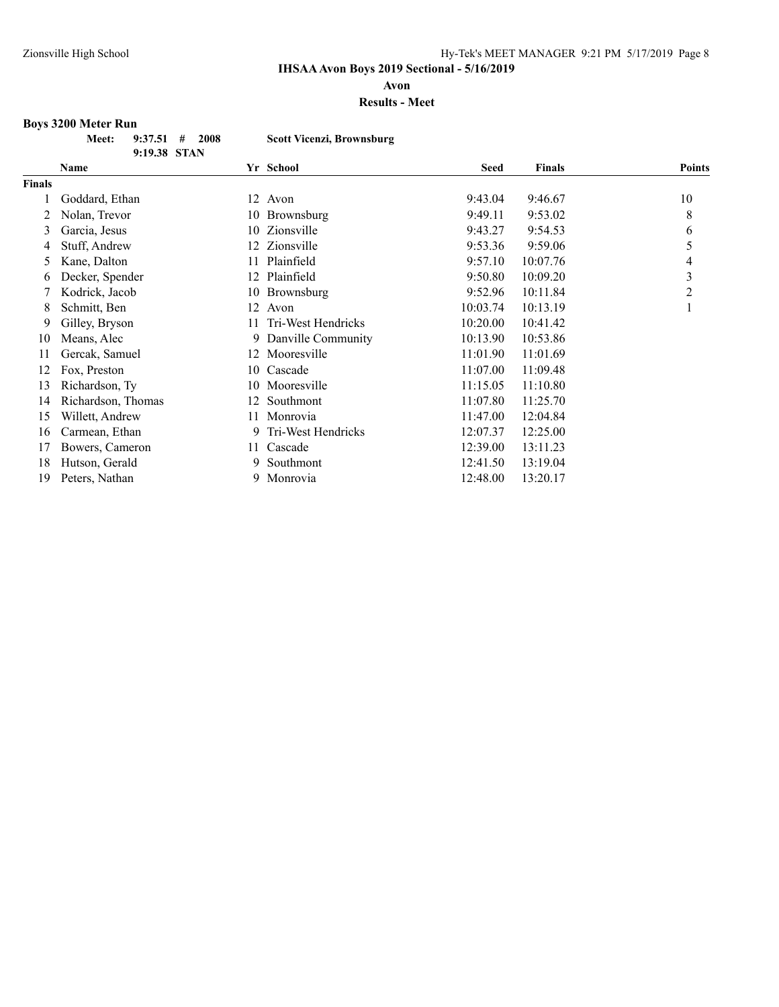**Avon**

**Results - Meet**

# **Boys 3200 Meter Run**

|  | Meet: $9:37.51$ # 2008 | <b>Scott Vicenzi, Brownsburg</b> |
|--|------------------------|----------------------------------|
|  | 9:19.38 STAN           |                                  |

|        | Name               |    | Yr School          | <b>Seed</b> | <b>Finals</b> | <b>Points</b>  |
|--------|--------------------|----|--------------------|-------------|---------------|----------------|
| Finals |                    |    |                    |             |               |                |
|        | Goddard, Ethan     |    | 12 Avon            | 9:43.04     | 9:46.67       | 10             |
|        | Nolan, Trevor      | 10 | Brownsburg         | 9:49.11     | 9:53.02       | 8              |
| 3      | Garcia, Jesus      | 10 | Zionsville         | 9:43.27     | 9:54.53       | 6              |
| 4      | Stuff, Andrew      | 12 | Zionsville         | 9:53.36     | 9:59.06       | 5              |
| 5      | Kane, Dalton       | 11 | Plainfield         | 9:57.10     | 10:07.76      | 4              |
| 6      | Decker, Spender    | 12 | Plainfield         | 9:50.80     | 10:09.20      | 3              |
|        | Kodrick, Jacob     | 10 | Brownsburg         | 9:52.96     | 10:11.84      | $\overline{2}$ |
| 8      | Schmitt, Ben       | 12 | Avon               | 10:03.74    | 10:13.19      |                |
| 9      | Gilley, Bryson     | 11 | Tri-West Hendricks | 10:20.00    | 10:41.42      |                |
| 10     | Means, Alec        | 9. | Danville Community | 10:13.90    | 10:53.86      |                |
| 11     | Gercak, Samuel     |    | 12 Mooresville     | 11:01.90    | 11:01.69      |                |
| 12     | Fox, Preston       | 10 | Cascade            | 11:07.00    | 11:09.48      |                |
| 13     | Richardson, Ty     |    | 10 Mooresville     | 11:15.05    | 11:10.80      |                |
| 14     | Richardson, Thomas | 12 | Southmont          | 11:07.80    | 11:25.70      |                |
| 15     | Willett, Andrew    | 11 | Monrovia           | 11:47.00    | 12:04.84      |                |
| 16     | Carmean, Ethan     | 9. | Tri-West Hendricks | 12:07.37    | 12:25.00      |                |
| 17     | Bowers, Cameron    | 11 | Cascade            | 12:39.00    | 13:11.23      |                |
| 18     | Hutson, Gerald     | 9. | Southmont          | 12:41.50    | 13:19.04      |                |
| 19     | Peters, Nathan     | 9. | Monrovia           | 12:48.00    | 13:20.17      |                |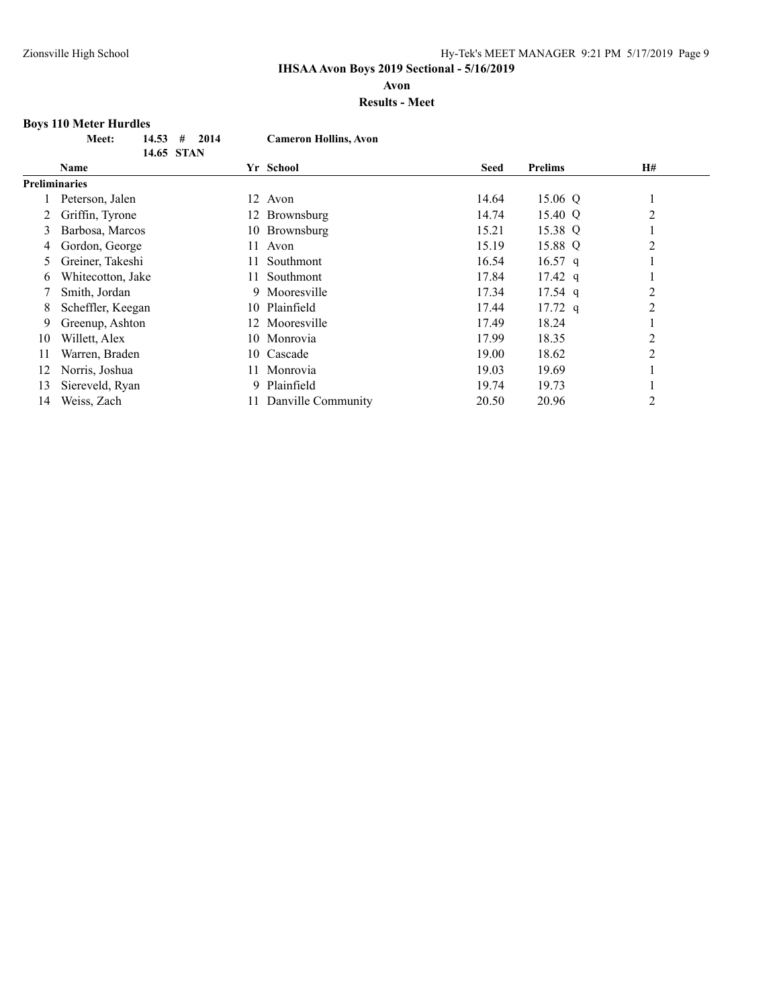**Avon**

### **Results - Meet**

# **Boys 110 Meter Hurdles**

| <b>Meet:</b> | $14.53 \quad # \quad 2014$ | <b>Cameron Hollins, Avon</b> |
|--------------|----------------------------|------------------------------|
|              | 14.65 STAN                 |                              |

|               | Name              |    | Yr School          | <b>Seed</b> | <b>Prelims</b>    | <b>H#</b>      |  |
|---------------|-------------------|----|--------------------|-------------|-------------------|----------------|--|
| Preliminaries |                   |    |                    |             |                   |                |  |
|               | Peterson, Jalen   |    | 12 Avon            | 14.64       | 15.06 Q           |                |  |
|               | Griffin, Tyrone   |    | 12 Brownsburg      | 14.74       | 15.40 Q           | $\overline{2}$ |  |
| 3             | Barbosa, Marcos   |    | 10 Brownsburg      | 15.21       | 15.38 Q           |                |  |
| 4             | Gordon, George    | 11 | Avon               | 15.19       | 15.88 Q           | $\overline{2}$ |  |
|               | Greiner, Takeshi  | 11 | Southmont          | 16.54       | $16.57$ q         |                |  |
| 6             | Whitecotton, Jake | 11 | Southmont          | 17.84       | $17.42 \text{ q}$ |                |  |
|               | Smith, Jordan     |    | 9 Mooresville      | 17.34       | $17.54$ q         | $\overline{c}$ |  |
| 8             | Scheffler, Keegan |    | 10 Plainfield      | 17.44       | $17.72$ q         | $\overline{2}$ |  |
| 9             | Greenup, Ashton   |    | 12 Mooresville     | 17.49       | 18.24             |                |  |
| 10            | Willett, Alex     |    | 10 Monrovia        | 17.99       | 18.35             | $\overline{2}$ |  |
| 11            | Warren, Braden    |    | 10 Cascade         | 19.00       | 18.62             | 2              |  |
| 12            | Norris, Joshua    |    | Monrovia           | 19.03       | 19.69             |                |  |
| 13            | Siereveld, Ryan   | 9. | Plainfield         | 19.74       | 19.73             |                |  |
| 14            | Weiss, Zach       |    | Danville Community | 20.50       | 20.96             | $\overline{2}$ |  |
|               |                   |    |                    |             |                   |                |  |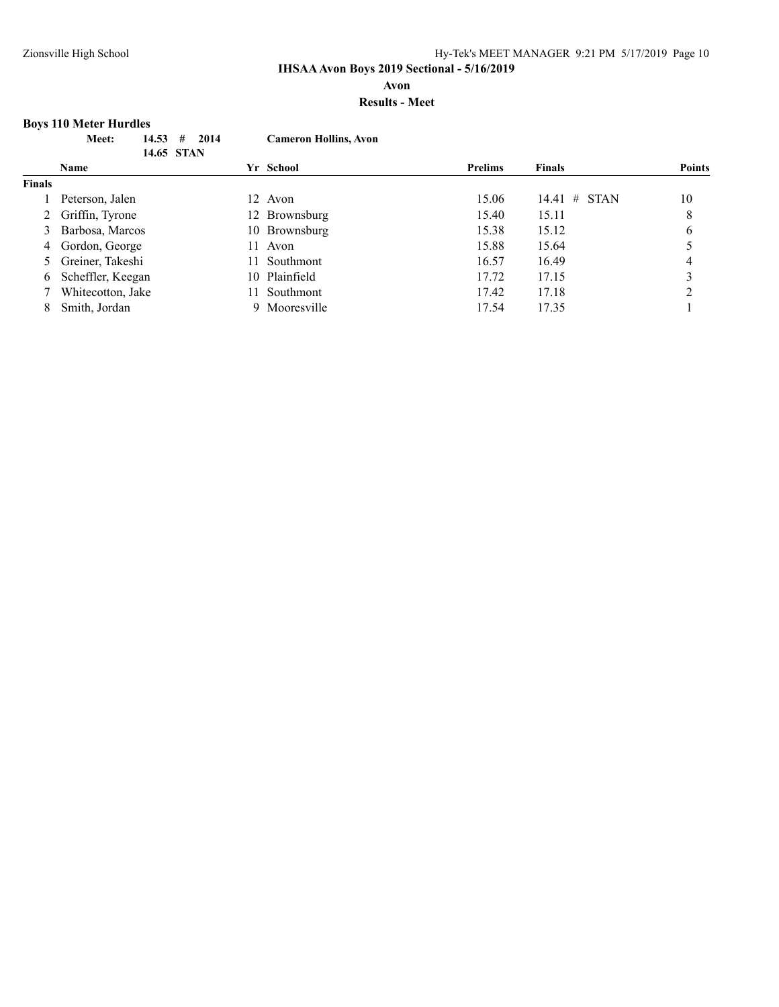**Avon**

## **Results - Meet**

# **Boys 110 Meter Hurdles**

|               | 14.53<br>Meet:<br>#<br>14.65 STAN | 2014<br><b>Cameron Hollins, Avon</b> |                |                    |               |
|---------------|-----------------------------------|--------------------------------------|----------------|--------------------|---------------|
|               | <b>Name</b>                       | Yr School                            | <b>Prelims</b> | <b>Finals</b>      | <b>Points</b> |
| <b>Finals</b> |                                   |                                      |                |                    |               |
|               | Peterson, Jalen                   | 12 Avon                              | 15.06          | #<br>STAN<br>14.41 | 10            |
|               | 2 Griffin, Tyrone                 | 12 Brownsburg                        | 15.40          | 15.11              | 8             |
|               | 3 Barbosa, Marcos                 | 10 Brownsburg                        | 15.38          | 15.12              | 6             |
|               | 4 Gordon, George                  | 11<br>Avon                           | 15.88          | 15.64              |               |
|               | 5 Greiner, Takeshi                | Southmont<br>11.                     | 16.57          | 16.49              | 4             |
| 6             | Scheffler, Keegan                 | 10 Plainfield                        | 17.72          | 17.15              | 3             |
|               | Whitecotton, Jake                 | Southmont<br>11.                     | 17.42          | 17.18              | ↑             |
| 8             | Smith, Jordan                     | Mooresville<br>9                     | 17.54          | 17.35              |               |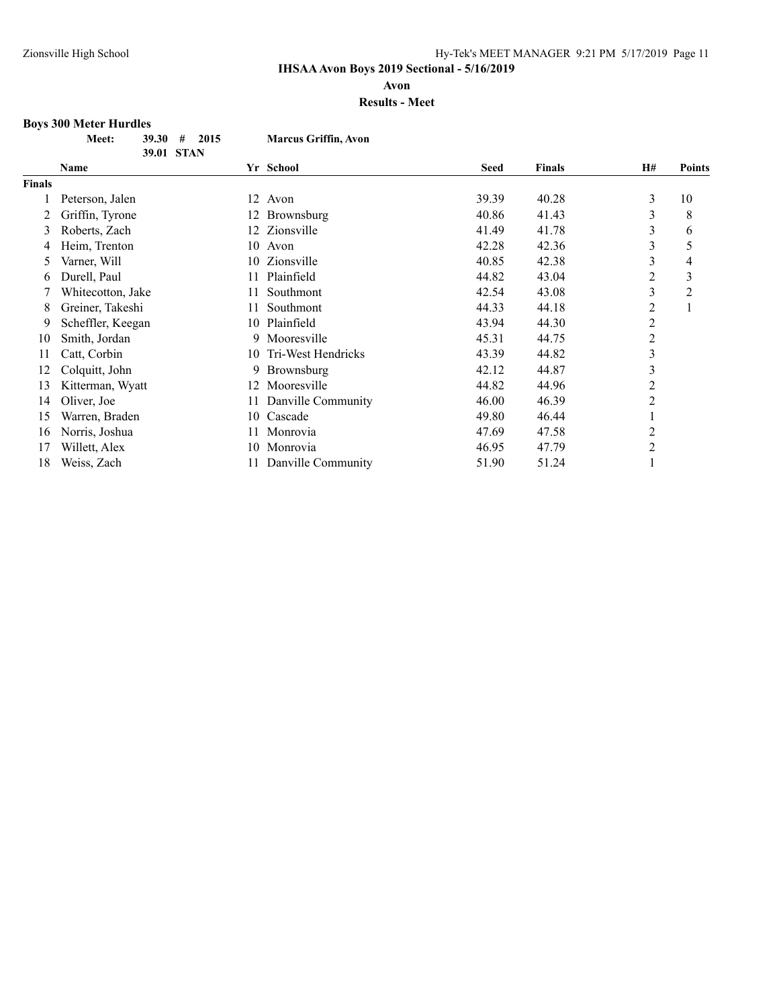**Avon**

## **Results - Meet**

#### **Boys 300 Meter Hurdles**

| <b>Meet:</b> | $39.30 \pm 2015$ | <b>Marcus Griffin, Avon</b> |
|--------------|------------------|-----------------------------|
|              | 39.01 STAN       |                             |

|        | Name              |    | Yr School          | <b>Seed</b> | <b>Finals</b> | H#             | <b>Points</b>  |
|--------|-------------------|----|--------------------|-------------|---------------|----------------|----------------|
| Finals |                   |    |                    |             |               |                |                |
|        | Peterson, Jalen   | 12 | Avon               | 39.39       | 40.28         | 3              | 10             |
|        | Griffin, Tyrone   | 12 | <b>Brownsburg</b>  | 40.86       | 41.43         | 3              | 8              |
| 3      | Roberts, Zach     | 12 | Zionsville         | 41.49       | 41.78         | 3              | 6              |
| 4      | Heim, Trenton     | 10 | Avon               | 42.28       | 42.36         | 3              | 5              |
| 5      | Varner, Will      | 10 | Zionsville         | 40.85       | 42.38         | 3              | 4              |
| 6      | Durell, Paul      | 11 | Plainfield         | 44.82       | 43.04         | 2              | 3              |
|        | Whitecotton, Jake | 11 | Southmont          | 42.54       | 43.08         | 3              | $\overline{c}$ |
| 8      | Greiner, Takeshi  | 11 | Southmont          | 44.33       | 44.18         | 2              |                |
| 9      | Scheffler, Keegan |    | 10 Plainfield      | 43.94       | 44.30         | 2              |                |
| 10     | Smith, Jordan     | 9  | Mooresville        | 45.31       | 44.75         | $\overline{2}$ |                |
| 11     | Catt, Corbin      | 10 | Tri-West Hendricks | 43.39       | 44.82         | 3              |                |
| 12     | Colquitt, John    | 9  | Brownsburg         | 42.12       | 44.87         | 3              |                |
| 13     | Kitterman, Wyatt  | 12 | Mooresville        | 44.82       | 44.96         | 2              |                |
| 14     | Oliver, Joe       | 11 | Danville Community | 46.00       | 46.39         | 2              |                |
| 15     | Warren, Braden    |    | 10 Cascade         | 49.80       | 46.44         |                |                |
| 16     | Norris, Joshua    | 11 | Monrovia           | 47.69       | 47.58         | 2              |                |
| 17     | Willett, Alex     | 10 | Monrovia           | 46.95       | 47.79         | 2              |                |
| 18     | Weiss, Zach       |    | Danville Community | 51.90       | 51.24         |                |                |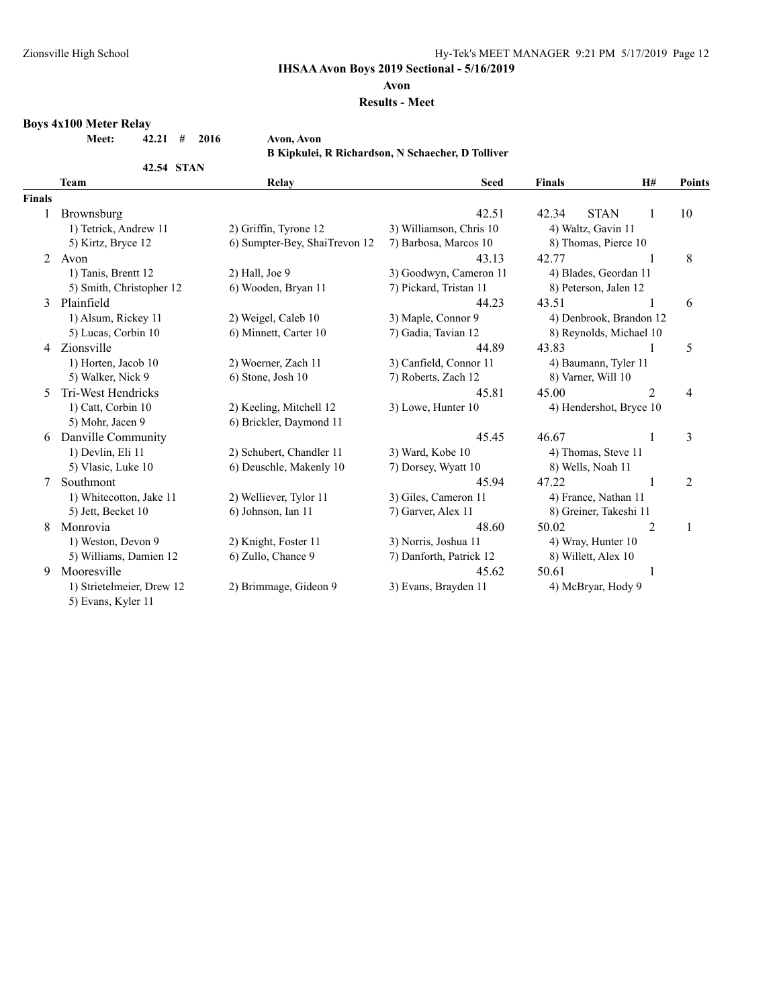## Zionsville High School **Hy-Tek's MEET MANAGER** 9:21 PM 5/17/2019 Page 12

**IHSAA Avon Boys 2019 Sectional - 5/16/2019**

#### **Avon**

#### **Results - Meet**

# **Boys 4x100 Meter Relay**

**Meet: 42.21 # 2016 Avon, Avon**

**42.54 STAN**

**B Kipkulei, R Richardson, N Schaecher, D Tolliver**

|               | <b>Team</b>                                     | Relay                         | <b>Seed</b>             | <b>Finals</b>          | H#                      | <b>Points</b>  |
|---------------|-------------------------------------------------|-------------------------------|-------------------------|------------------------|-------------------------|----------------|
| <b>Finals</b> |                                                 |                               |                         |                        |                         |                |
|               | Brownsburg                                      |                               | 42.51                   | 42.34                  | <b>STAN</b><br>1        | 10             |
|               | 1) Tetrick, Andrew 11                           | 2) Griffin, Tyrone 12         | 3) Williamson, Chris 10 | 4) Waltz, Gavin 11     |                         |                |
|               | 5) Kirtz, Bryce 12                              | 6) Sumpter-Bey, ShaiTrevon 12 | 7) Barbosa, Marcos 10   | 8) Thomas, Pierce 10   |                         |                |
| 2             | Avon                                            |                               | 43.13                   | 42.77                  |                         | 8              |
|               | 1) Tanis, Brentt 12                             | $2)$ Hall, Joe $9$            | 3) Goodwyn, Cameron 11  | 4) Blades, Geordan 11  |                         |                |
|               | 5) Smith, Christopher 12                        | 6) Wooden, Bryan 11           | 7) Pickard, Tristan 11  | 8) Peterson, Jalen 12  |                         |                |
| 3             | Plainfield                                      |                               | 44.23                   | 43.51                  |                         | 6              |
|               | 1) Alsum, Rickey 11                             | 2) Weigel, Caleb 10           | 3) Maple, Connor 9      |                        | 4) Denbrook, Brandon 12 |                |
|               | 5) Lucas, Corbin 10                             | 6) Minnett, Carter 10         | 7) Gadia, Tavian 12     |                        | 8) Reynolds, Michael 10 |                |
| 4             | Zionsville                                      |                               | 44.89                   | 43.83                  | 1                       | 5              |
|               | 1) Horten, Jacob 10                             | 2) Woerner, Zach 11           | 3) Canfield, Connor 11  | 4) Baumann, Tyler 11   |                         |                |
|               | 5) Walker, Nick 9                               | 6) Stone, Josh 10             | 7) Roberts, Zach 12     | 8) Varner, Will 10     |                         |                |
| 5.            | Tri-West Hendricks                              |                               | 45.81                   | 45.00                  | $\overline{2}$          | 4              |
|               | 1) Catt, Corbin 10                              | 2) Keeling, Mitchell 12       | 3) Lowe, Hunter 10      |                        | 4) Hendershot, Bryce 10 |                |
|               | 5) Mohr, Jacen 9                                | 6) Brickler, Daymond 11       |                         |                        |                         |                |
| 6             | Danville Community                              |                               | 45.45                   | 46.67                  | 1                       | 3              |
|               | 1) Devlin, Eli 11                               | 2) Schubert, Chandler 11      | 3) Ward, Kobe 10        | 4) Thomas, Steve 11    |                         |                |
|               | 5) Vlasic, Luke 10                              | 6) Deuschle, Makenly 10       | 7) Dorsey, Wyatt 10     | 8) Wells, Noah 11      |                         |                |
| 7             | Southmont                                       |                               | 45.94                   | 47.22                  | 1                       | $\overline{2}$ |
|               | 1) Whitecotton, Jake 11                         | 2) Welliever, Tylor 11        | 3) Giles, Cameron 11    | 4) France, Nathan 11   |                         |                |
|               | 5) Jett, Becket 10                              | 6) Johnson, Ian 11            | 7) Garver, Alex 11      | 8) Greiner, Takeshi 11 |                         |                |
| 8             | Monrovia                                        |                               | 48.60                   | 50.02                  | $\overline{2}$          | 1              |
|               | 1) Weston, Devon 9                              | 2) Knight, Foster 11          | 3) Norris, Joshua 11    | 4) Wray, Hunter 10     |                         |                |
|               | 5) Williams, Damien 12                          | 6) Zullo, Chance 9            | 7) Danforth, Patrick 12 | 8) Willett, Alex 10    |                         |                |
| 9             | Mooresville                                     |                               | 45.62                   | 50.61                  | 1                       |                |
|               | 1) Strietelmeier, Drew 12<br>5) Evans, Kyler 11 | 2) Brimmage, Gideon 9         | 3) Evans, Brayden 11    | 4) McBryar, Hody 9     |                         |                |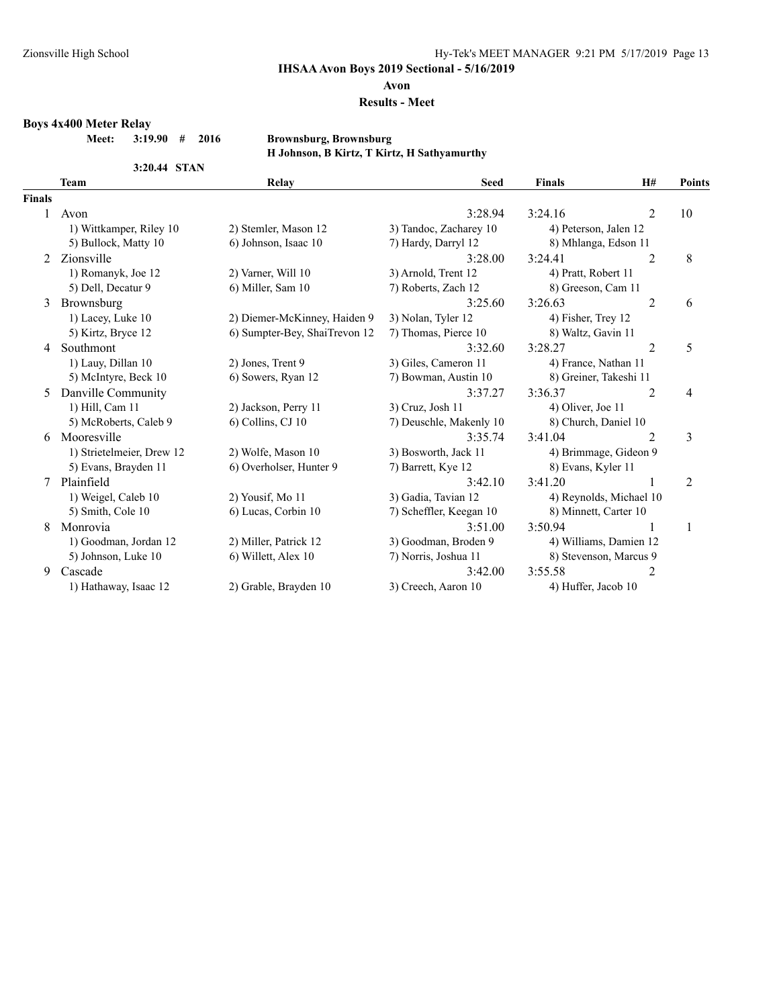#### **Avon**

## **Results - Meet**

**Boys 4x400 Meter Relay**

**Meet: 3:19.90 # 2016 Brownsburg, Brownsburg**

**3:20.44 STAN**

# **H Johnson, B Kirtz, T Kirtz, H Sathyamurthy**

|               | <b>Team</b>               | Relay                         | <b>Seed</b>             | <b>Finals</b>          | H#                      | Points         |
|---------------|---------------------------|-------------------------------|-------------------------|------------------------|-------------------------|----------------|
| <b>Finals</b> |                           |                               |                         |                        |                         |                |
| 1.            | Avon                      |                               | 3:28.94                 | 3:24.16                | $\overline{2}$          | 10             |
|               | 1) Wittkamper, Riley 10   | 2) Stemler, Mason 12          | 3) Tandoc, Zacharey 10  | 4) Peterson, Jalen 12  |                         |                |
|               | 5) Bullock, Matty 10      | 6) Johnson, Isaac 10          | 7) Hardy, Darryl 12     | 8) Mhlanga, Edson 11   |                         |                |
| $2^{1}$       | Zionsville                |                               | 3:28.00                 | 3:24.41                | $\overline{2}$          | 8              |
|               | 1) Romanyk, Joe 12        | 2) Varner, Will 10            | 3) Arnold, Trent 12     | 4) Pratt, Robert 11    |                         |                |
|               | 5) Dell, Decatur 9        | 6) Miller, Sam 10             | 7) Roberts, Zach 12     | 8) Greeson, Cam 11     |                         |                |
| 3             | Brownsburg                |                               | 3:25.60                 | 3:26.63                | 2                       | 6              |
|               | 1) Lacey, Luke 10         | 2) Diemer-McKinney, Haiden 9  | 3) Nolan, Tyler 12      | 4) Fisher, Trey 12     |                         |                |
|               | 5) Kirtz, Bryce 12        | 6) Sumpter-Bey, ShaiTrevon 12 | 7) Thomas, Pierce 10    | 8) Waltz, Gavin 11     |                         |                |
| 4             | Southmont                 |                               | 3:32.60                 | 3:28.27                | $\overline{2}$          | 5              |
|               | 1) Lauy, Dillan 10        | 2) Jones, Trent 9             | 3) Giles, Cameron 11    | 4) France, Nathan 11   |                         |                |
|               | 5) McIntyre, Beck 10      | 6) Sowers, Ryan 12            | 7) Bowman, Austin 10    | 8) Greiner, Takeshi 11 |                         |                |
| 5.            | Danville Community        |                               | 3:37.27                 | 3:36.37                | 2                       | 4              |
|               | 1) Hill, Cam 11           | 2) Jackson, Perry 11          | 3) Cruz, Josh 11        | 4) Oliver, Joe 11      |                         |                |
|               | 5) McRoberts, Caleb 9     | 6) Collins, CJ 10             | 7) Deuschle, Makenly 10 | 8) Church, Daniel 10   |                         |                |
| 6.            | Mooresville               |                               | 3:35.74                 | 3:41.04                | 2                       | 3              |
|               | 1) Strietelmeier, Drew 12 | 2) Wolfe, Mason 10            | 3) Bosworth, Jack 11    | 4) Brimmage, Gideon 9  |                         |                |
|               | 5) Evans, Brayden 11      | 6) Overholser, Hunter 9       | 7) Barrett, Kye 12      | 8) Evans, Kyler 11     |                         |                |
| 7             | Plainfield                |                               | 3:42.10                 | 3:41.20                |                         | $\overline{2}$ |
|               | 1) Weigel, Caleb 10       | 2) Yousif, Mo 11              | 3) Gadia, Tavian 12     |                        | 4) Reynolds, Michael 10 |                |
|               | 5) Smith, Cole 10         | 6) Lucas, Corbin 10           | 7) Scheffler, Keegan 10 | 8) Minnett, Carter 10  |                         |                |
| 8             | Monrovia                  |                               | 3:51.00                 | 3:50.94                |                         | 1              |
|               | 1) Goodman, Jordan 12     | 2) Miller, Patrick 12         | 3) Goodman, Broden 9    |                        | 4) Williams, Damien 12  |                |
|               | 5) Johnson, Luke 10       | 6) Willett, Alex 10           | 7) Norris, Joshua 11    | 8) Stevenson, Marcus 9 |                         |                |
| 9             | Cascade                   |                               | 3:42.00                 | 3:55.58                | $\overline{2}$          |                |
|               | 1) Hathaway, Isaac 12     | 2) Grable, Brayden 10         | 3) Creech, Aaron 10     | 4) Huffer, Jacob 10    |                         |                |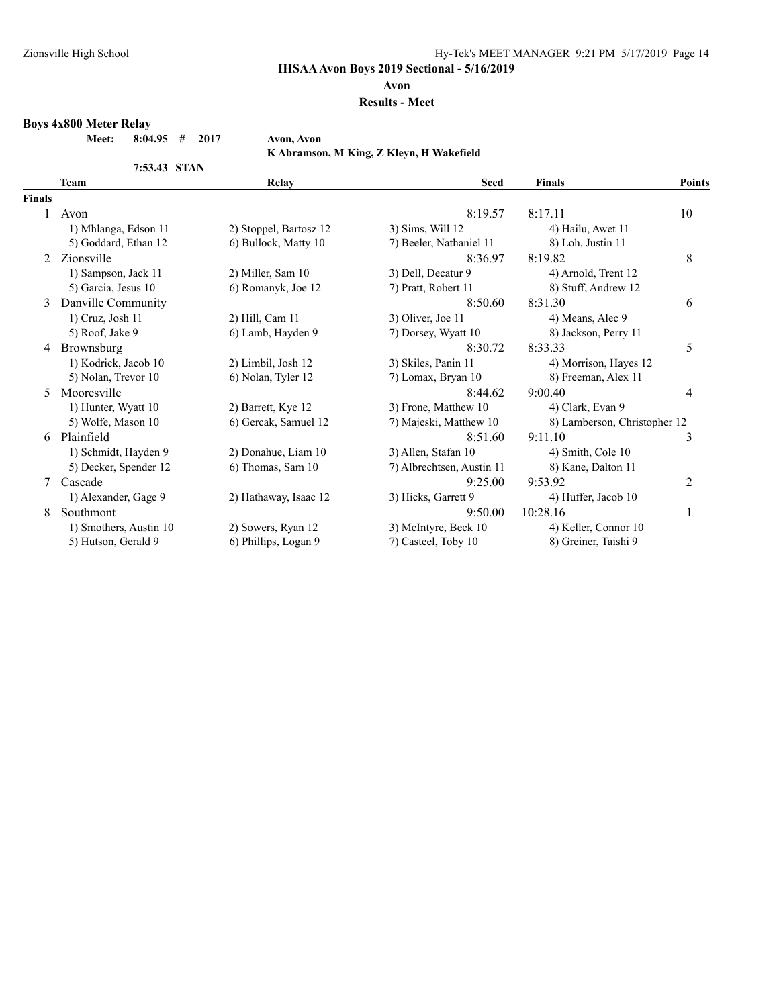## Zionsville High School **Hy-Tek's MEET MANAGER** 9:21 PM 5/17/2019 Page 14

**IHSAA Avon Boys 2019 Sectional - 5/16/2019**

#### **Avon**

#### **Results - Meet**

## **Boys 4x800 Meter Relay**

**Meet: 8:04.95 # 2017 Avon, Avon**

**K Abramson, M King, Z Kleyn, H Wakefield**

|               | 7:53.43 STAN           |                        |                           |                              |                |
|---------------|------------------------|------------------------|---------------------------|------------------------------|----------------|
|               | <b>Team</b>            | Relay                  | <b>Seed</b>               | <b>Finals</b>                | <b>Points</b>  |
| <b>Finals</b> |                        |                        |                           |                              |                |
|               | Avon                   |                        | 8:19.57                   | 8:17.11                      | 10             |
|               | 1) Mhlanga, Edson 11   | 2) Stoppel, Bartosz 12 | 3) Sims, Will 12          | 4) Hailu, Awet 11            |                |
|               | 5) Goddard, Ethan 12   | 6) Bullock, Matty 10   | 7) Beeler, Nathaniel 11   | 8) Loh, Justin 11            |                |
| 2             | Zionsville             |                        | 8:36.97                   | 8:19.82                      | 8              |
|               | 1) Sampson, Jack 11    | 2) Miller, Sam 10      | 3) Dell, Decatur 9        | 4) Arnold, Trent 12          |                |
|               | 5) Garcia, Jesus 10    | 6) Romanyk, Joe 12     | 7) Pratt, Robert 11       | 8) Stuff, Andrew 12          |                |
| 3             | Danville Community     |                        | 8:50.60                   | 8:31.30                      | 6              |
|               | 1) Cruz, Josh 11       | 2) Hill, Cam 11        | 3) Oliver, Joe 11         | 4) Means, Alec 9             |                |
|               | 5) Roof, Jake 9        | 6) Lamb, Hayden 9      | 7) Dorsey, Wyatt 10       | 8) Jackson, Perry 11         |                |
| 4             | Brownsburg             |                        | 8:30.72                   | 8:33.33                      | 5              |
|               | 1) Kodrick, Jacob 10   | 2) Limbil, Josh 12     | 3) Skiles, Panin 11       | 4) Morrison, Hayes 12        |                |
|               | 5) Nolan, Trevor 10    | 6) Nolan, Tyler 12     | 7) Lomax, Bryan 10        | 8) Freeman, Alex 11          |                |
| 5             | Mooresville            |                        | 8:44.62                   | 9:00.40                      | $\overline{4}$ |
|               | 1) Hunter, Wyatt 10    | 2) Barrett, Kye 12     | 3) Frone, Matthew 10      | 4) Clark, Evan 9             |                |
|               | 5) Wolfe, Mason 10     | 6) Gercak, Samuel 12   | 7) Majeski, Matthew 10    | 8) Lamberson, Christopher 12 |                |
| 6             | Plainfield             |                        | 8:51.60                   | 9:11.10                      | 3              |
|               | 1) Schmidt, Hayden 9   | 2) Donahue, Liam 10    | 3) Allen, Stafan 10       | 4) Smith, Cole 10            |                |
|               | 5) Decker, Spender 12  | 6) Thomas, Sam 10      | 7) Albrechtsen, Austin 11 | 8) Kane, Dalton 11           |                |
|               | Cascade                |                        | 9:25.00                   | 9:53.92                      | $\overline{c}$ |
|               | 1) Alexander, Gage 9   | 2) Hathaway, Isaac 12  | 3) Hicks, Garrett 9       | 4) Huffer, Jacob 10          |                |
| 8             | Southmont              |                        | 9:50.00                   | 10:28.16                     | 1              |
|               | 1) Smothers, Austin 10 | 2) Sowers, Ryan 12     | 3) McIntyre, Beck 10      | 4) Keller, Connor 10         |                |
|               | 5) Hutson, Gerald 9    | 6) Phillips, Logan 9   | 7) Casteel, Toby 10       | 8) Greiner, Taishi 9         |                |
|               |                        |                        |                           |                              |                |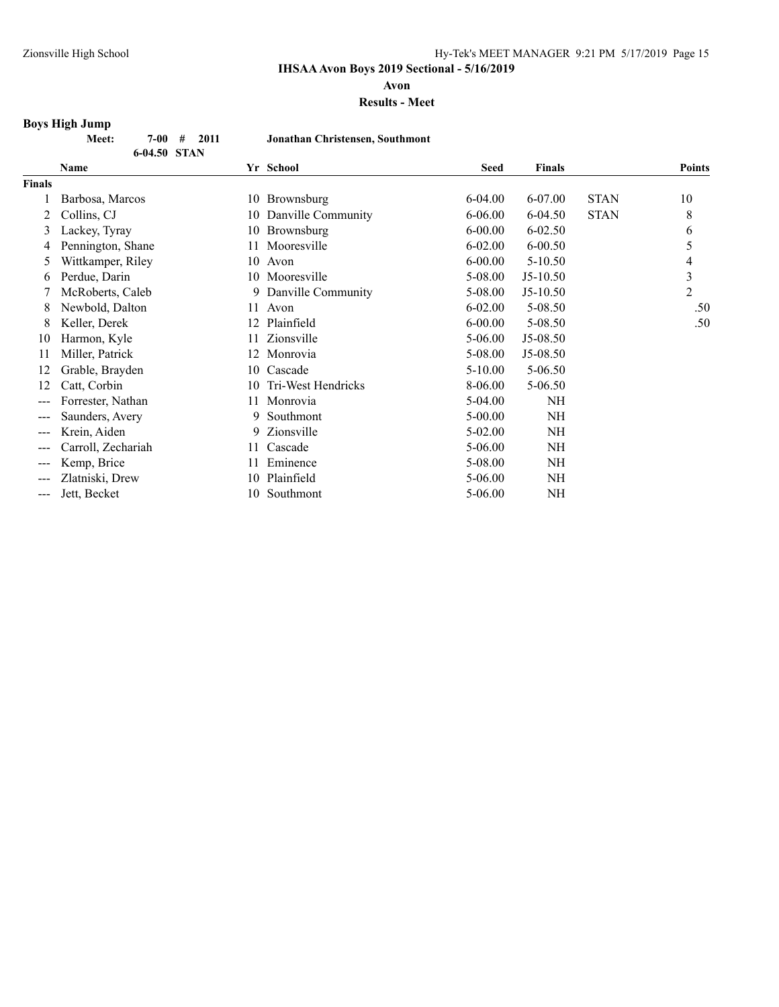**Avon**

#### **Results - Meet**

#### **Boys High Jump**

|               | Meet:<br>2011<br>7-00<br>#<br>6-04.50 STAN | Jonathan Christensen, Southmont |             |               |             |        |
|---------------|--------------------------------------------|---------------------------------|-------------|---------------|-------------|--------|
|               | Name                                       | Yr School                       | Seed        | <b>Finals</b> |             | Points |
| <b>Finals</b> |                                            |                                 |             |               |             |        |
|               | Barbosa, Marcos                            | 10 Brownsburg                   | $6-04.00$   | 6-07.00       | <b>STAN</b> | 10     |
|               | Collins, CJ                                | 10 Danville Community           | $6 - 06.00$ | $6-04.50$     | <b>STAN</b> | 8      |
|               | Lackey, Tyray                              | 10 Brownsburg                   | $6 - 00.00$ | 6-02.50       |             | 6      |
|               | Pennington, Shane                          | 11 Mooresville                  | $6 - 02.00$ | $6 - 00.50$   |             |        |
| 5.            | Wittkamper, Riley                          | 10<br>Avon                      | $6 - 00.00$ | $5 - 10.50$   |             | 4      |
| 6             | Perdue, Darin                              | 10 Mooresville                  | 5-08.00     | $J5-10.50$    |             | 3      |
|               | McRoberts, Caleb                           | 9 Danville Community            | 5-08.00     | $J5-10.50$    |             | 2      |
| 8             | Newbold, Dalton                            | 11<br>Avon                      | $6-02.00$   | 5-08.50       |             | .50    |
| 8             | Keller, Derek                              | 12 Plainfield                   | $6 - 00.00$ | 5-08.50       |             | .50    |
| 10            | Harmon, Kyle                               | Zionsville<br>11                | $5 - 06.00$ | $J5-08.50$    |             |        |

11 Miller, Patrick 12 Monrovia 5-08.00 J5-08.50 12 Grable, Brayden 10 Cascade 5-10.00 5-06.50 12 Catt, Corbin 10 Tri-West Hendricks 8-06.00 5-06.50 --- Forrester, Nathan 11 Monrovia 5-04.00 NH --- Saunders, Avery 9 Southmont 5-00.00 NH --- Krein, Aiden 9 Zionsville 5-02.00 NH --- Carroll, Zechariah 11 Cascade 5-06.00 NH --- Kemp, Brice 11 Eminence 5-08.00 NH --- Zlatniski, Drew 10 Plainfield 5-06.00 NH --- Jett, Becket 10 Southmont 5-06.00 NH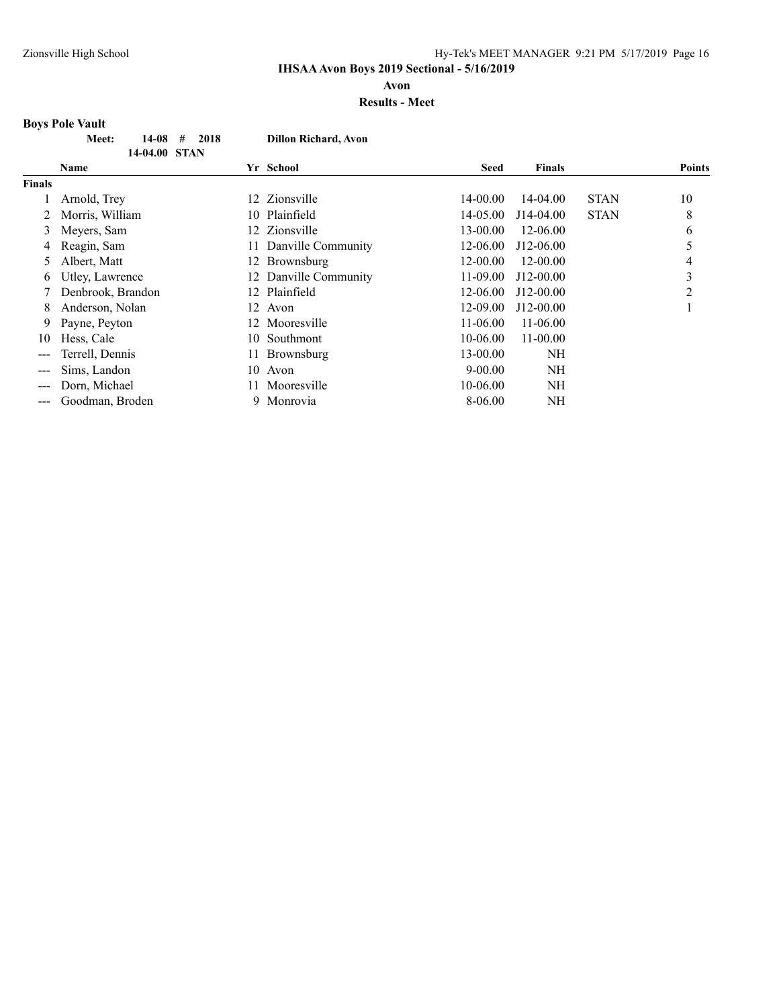**Avon**

## **Results - Meet**

# **Boys Pole Vault**

|               | Meet:<br>14-08<br>#<br>2018 |     | <b>Dillon Richard, Avon</b> |             |               |             |               |
|---------------|-----------------------------|-----|-----------------------------|-------------|---------------|-------------|---------------|
|               | 14-04.00 STAN               |     |                             |             |               |             |               |
|               | <b>Name</b>                 |     | Yr School                   | <b>Seed</b> | <b>Finals</b> |             | <b>Points</b> |
| <b>Finals</b> |                             |     |                             |             |               |             |               |
|               | Arnold, Trey                |     | 12 Zionsville               | 14-00.00    | 14-04.00      | <b>STAN</b> | 10            |
|               | Morris, William             | 10. | Plainfield                  | 14-05.00    | J14-04.00     | <b>STAN</b> | 8             |
| 3             | Meyers, Sam                 | 12  | Zionsville                  | 13-00.00    | 12-06.00      |             | 6             |
| 4             | Reagin, Sam                 | 11. | Danville Community          | 12-06.00    | J12-06.00     |             | 5             |
| 5.            | Albert, Matt                |     | 12 Brownsburg               | 12-00.00    | 12-00.00      |             | 4             |
| 6             | Utley, Lawrence             |     | 12 Danville Community       | 11-09.00    | J12-00.00     |             | 3             |
|               | Denbrook, Brandon           | 12  | Plainfield                  | 12-06.00    | $J12-00.00$   |             | 2             |
| 8             | Anderson, Nolan             | 12  | Avon                        | 12-09.00    | J12-00.00     |             |               |
| 9             | Payne, Peyton               |     | 12 Mooresville              | 11-06.00    | $11-06.00$    |             |               |
| 10            | Hess, Cale                  | 10  | Southmont                   | 10-06.00    | $11 - 00.00$  |             |               |
| ---           | Terrell, Dennis             | 11  | <b>Brownsburg</b>           | 13-00.00    | <b>NH</b>     |             |               |
| ---           | Sims, Landon                | 10  | Avon                        | $9 - 00.00$ | NH            |             |               |
| ---           | Dorn, Michael               | 11. | Mooresville                 | 10-06.00    | <b>NH</b>     |             |               |
| ---           | Goodman, Broden             |     | 9 Monrovia                  | 8-06.00     | NΗ            |             |               |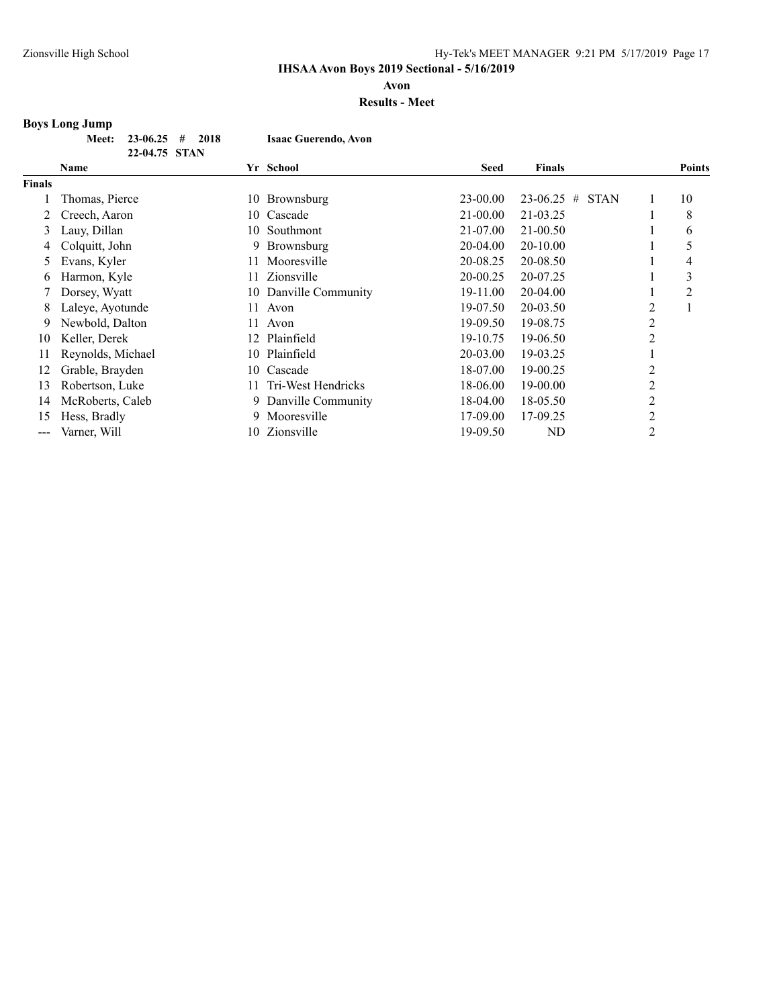**Avon**

#### **Results - Meet**

# **Boys Long Jump**

|  | Meet: $23-06.25$ # 2018 |  | <b>Isaac Guerendo, Avon</b> |
|--|-------------------------|--|-----------------------------|
|  | 22-04.75 STAN           |  |                             |

|               | Name              |     | Yr School             | <b>Seed</b> | <b>Finals</b>                    |                | <b>Points</b> |
|---------------|-------------------|-----|-----------------------|-------------|----------------------------------|----------------|---------------|
| <b>Finals</b> |                   |     |                       |             |                                  |                |               |
|               | Thomas, Pierce    | 10- | Brownsburg            | 23-00.00    | $23 - 06.25$<br>#<br><b>STAN</b> | 1              | 10            |
| 2             | Creech, Aaron     | 10. | Cascade               | 21-00.00    | 21-03.25                         |                | 8             |
| 3             | Lauy, Dillan      | 10. | Southmont             | 21-07.00    | $21 - 00.50$                     |                | 6             |
| 4             | Colquitt, John    |     | 9 Brownsburg          | 20-04.00    | 20-10.00                         |                |               |
| 5.            | Evans, Kyler      | 11  | Mooresville           | 20-08.25    | 20-08.50                         |                | 4             |
| 6             | Harmon, Kyle      | 11. | Zionsville            | 20-00.25    | 20-07.25                         |                | 3             |
|               | Dorsey, Wyatt     |     | 10 Danville Community | 19-11.00    | 20-04.00                         |                | 2             |
| 8             | Laleye, Ayotunde  | 11  | Avon                  | 19-07.50    | 20-03.50                         | 2              |               |
| 9             | Newbold, Dalton   | 11  | Avon                  | 19-09.50    | 19-08.75                         | 2              |               |
| 10            | Keller, Derek     | 12  | Plainfield            | 19-10.75    | 19-06.50                         | 2              |               |
| 11            | Reynolds, Michael |     | 10 Plainfield         | 20-03.00    | 19-03.25                         |                |               |
| 12            | Grable, Brayden   | 10  | Cascade               | 18-07.00    | 19-00.25                         | 2              |               |
| 13            | Robertson, Luke   | 11  | Tri-West Hendricks    | 18-06.00    | 19-00.00                         | 2              |               |
| 14            | McRoberts, Caleb  |     | 9 Danville Community  | 18-04.00    | 18-05.50                         | $\overline{c}$ |               |
| 15            | Hess, Bradly      | 9.  | Mooresville           | 17-09.00    | 17-09.25                         | $\overline{c}$ |               |
| ---           | Varner, Will      | 10. | Zionsville            | 19-09.50    | ND                               | 2              |               |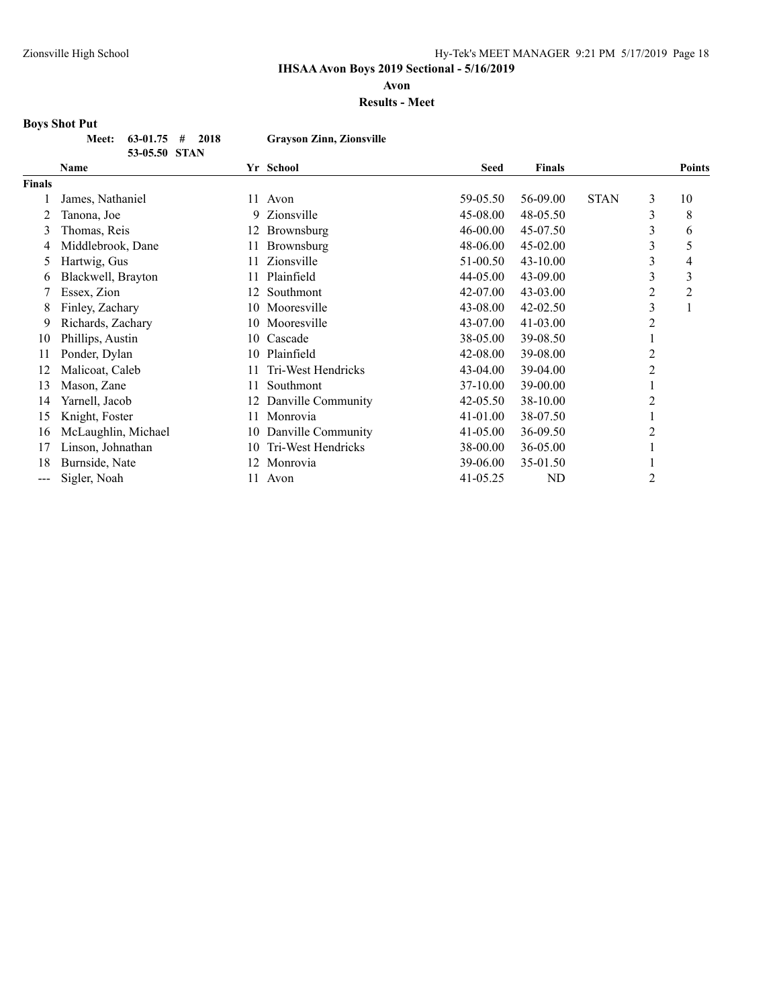**Avon**

#### **Results - Meet**

# **Boys Shot Put**

| Meet: $63-01.75$ # 2018 | <b>Grayson Zinn, Zionsville</b> |
|-------------------------|---------------------------------|
| 53-05.50 STAN           |                                 |

|               | <b>Name</b>         |     | Yr School          | <b>Seed</b>  | <b>Finals</b> |             |                | <b>Points</b>  |
|---------------|---------------------|-----|--------------------|--------------|---------------|-------------|----------------|----------------|
| <b>Finals</b> |                     |     |                    |              |               |             |                |                |
|               | James, Nathaniel    | 11  | Avon               | 59-05.50     | 56-09.00      | <b>STAN</b> | 3              | 10             |
|               | Tanona, Joe         | 9   | Zionsville         | 45-08.00     | 48-05.50      |             | 3              | 8              |
| 3             | Thomas, Reis        | 12  | Brownsburg         | 46-00.00     | 45-07.50      |             | 3              | 6              |
|               | Middlebrook, Dane   | 11  | Brownsburg         | 48-06.00     | 45-02.00      |             | 3              | 5              |
| 5             | Hartwig, Gus        | 11  | Zionsville         | 51-00.50     | $43 - 10.00$  |             | 3              | 4              |
| 6             | Blackwell, Brayton  | 11  | Plainfield         | 44-05.00     | 43-09.00      |             | 3              | 3              |
|               | Essex, Zion         | 12. | Southmont          | 42-07.00     | 43-03.00      |             | $\overline{2}$ | $\overline{2}$ |
| 8             | Finley, Zachary     | 10  | Mooresville        | 43-08.00     | 42-02.50      |             | 3              |                |
| 9             | Richards, Zachary   |     | 10 Mooresville     | 43-07.00     | $41 - 03.00$  |             | 2              |                |
| 10            | Phillips, Austin    |     | 10 Cascade         | 38-05.00     | 39-08.50      |             |                |                |
| 11            | Ponder, Dylan       | 10  | Plainfield         | 42-08.00     | 39-08.00      |             | 2              |                |
| 12            | Malicoat, Caleb     | 11  | Tri-West Hendricks | $43 - 04.00$ | 39-04.00      |             | 2              |                |
| 13            | Mason, Zane         | 11  | Southmont          | 37-10.00     | 39-00.00      |             |                |                |
| 14            | Yarnell, Jacob      | 12  | Danville Community | 42-05.50     | 38-10.00      |             | 2              |                |
| 15            | Knight, Foster      | 11. | Monrovia           | 41-01.00     | 38-07.50      |             |                |                |
| 16            | McLaughlin, Michael | 10  | Danville Community | 41-05.00     | 36-09.50      |             | 2              |                |
| 17            | Linson, Johnathan   | 10  | Tri-West Hendricks | 38-00.00     | 36-05.00      |             |                |                |
| 18            | Burnside, Nate      | 12  | Monrovia           | 39-06.00     | 35-01.50      |             |                |                |
| ---           | Sigler, Noah        | 11  | Avon               | 41-05.25     | ND            |             | 2              |                |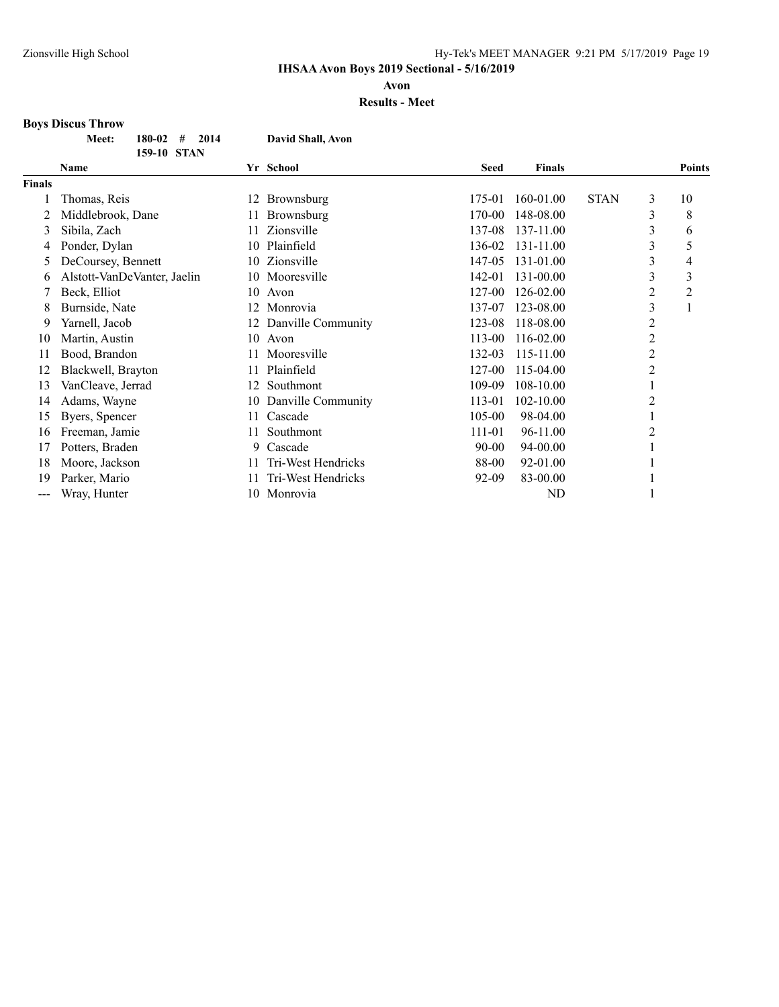**Avon**

**Results - Meet**

# **Boys Discus Throw**

|                   | 180-02<br>#<br>2014<br>Meet:<br>159-10 STAN |    | David Shall, Avon  |             |               |             |                |                |
|-------------------|---------------------------------------------|----|--------------------|-------------|---------------|-------------|----------------|----------------|
|                   | <b>Name</b>                                 |    | Yr School          | <b>Seed</b> | <b>Finals</b> |             |                | <b>Points</b>  |
| <b>Finals</b>     |                                             |    |                    |             |               |             |                |                |
|                   | Thomas, Reis                                | 12 | Brownsburg         | 175-01      | 160-01.00     | <b>STAN</b> | 3              | 10             |
|                   | Middlebrook, Dane                           | 11 | Brownsburg         | 170-00      | 148-08.00     |             | 3              | 8              |
| 3                 | Sibila, Zach                                | 11 | Zionsville         | 137-08      | 137-11.00     |             | 3              | 6              |
| 4                 | Ponder, Dylan                               | 10 | Plainfield         | 136-02      | 131-11.00     |             | 3              | 5              |
| $\mathcal{L}$     | DeCoursey, Bennett                          | 10 | Zionsville         | 147-05      | 131-01.00     |             | 3              | 4              |
| 6                 | Alstott-VanDeVanter, Jaelin                 | 10 | Mooresville        | 142-01      | 131-00.00     |             | 3              | 3              |
|                   | Beck, Elliot                                | 10 | Avon               | 127-00      | 126-02.00     |             | 2              | $\overline{2}$ |
| 8                 | Burnside, Nate                              | 12 | Monrovia           | 137-07      | 123-08.00     |             | 3              |                |
| 9                 | Yarnell, Jacob                              | 12 | Danville Community | 123-08      | 118-08.00     |             | $\overline{c}$ |                |
| 10                | Martin, Austin                              | 10 | Avon               | 113-00      | 116-02.00     |             | $\overline{c}$ |                |
| 11                | Bood, Brandon                               | 11 | Mooresville        | 132-03      | 115-11.00     |             | $\overline{c}$ |                |
| 12                | Blackwell, Brayton                          | 11 | Plainfield         | 127-00      | 115-04.00     |             | $\overline{2}$ |                |
| 13                | VanCleave, Jerrad                           | 12 | Southmont          | 109-09      | 108-10.00     |             |                |                |
| 14                | Adams, Wayne                                | 10 | Danville Community | 113-01      | 102-10.00     |             | 2              |                |
| 15                | Byers, Spencer                              | 11 | Cascade            | 105-00      | 98-04.00      |             | 1              |                |
| 16                | Freeman, Jamie                              | 11 | Southmont          | 111-01      | 96-11.00      |             | $\overline{c}$ |                |
| 17                | Potters, Braden                             | 9  | Cascade            | $90 - 00$   | 94-00.00      |             | 1              |                |
| 18                | Moore, Jackson                              | 11 | Tri-West Hendricks | 88-00       | 92-01.00      |             |                |                |
| 19                | Parker, Mario                               | 11 | Tri-West Hendricks | 92-09       | 83-00.00      |             | 1              |                |
| $\qquad \qquad -$ | Wray, Hunter                                | 10 | Monrovia           |             | <b>ND</b>     |             |                |                |
|                   |                                             |    |                    |             |               |             |                |                |